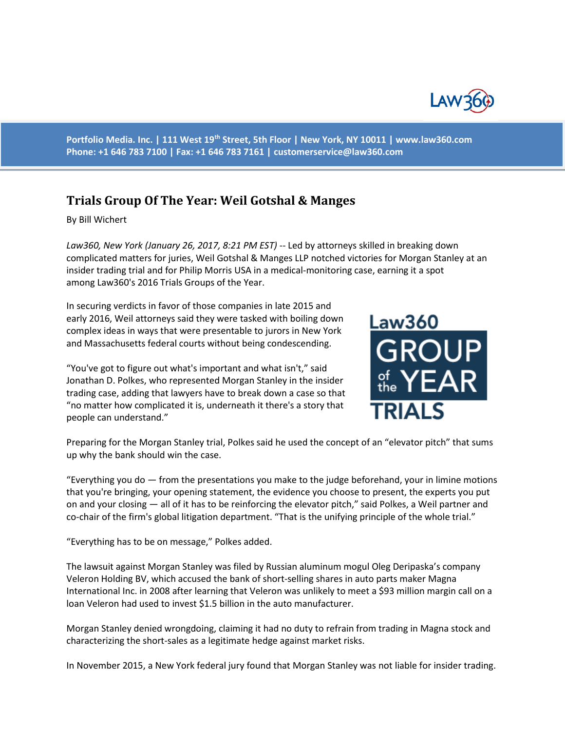

**Portfolio Media. Inc. | 111 West 19th Street, 5th Floor | New York, NY 10011 | www.law360.com Phone: +1 646 783 7100 | Fax: +1 646 783 7161 | [customerservice@law360.com](mailto:customerservice@law360.com)**

## **Trials Group Of The Year: Weil Gotshal & Manges**

By Bill Wichert

*Law360, New York (January 26, 2017, 8:21 PM EST)* -- Led by attorneys skilled in breaking down complicated matters for juries, Weil Gotshal & Manges LLP notched victories for Morgan Stanley at an insider trading trial and for Philip Morris USA in a medical-monitoring case, earning it a spot among Law360's 2016 Trials Groups of the Year.

In securing verdicts in favor of those companies in late 2015 and early 2016, Weil attorneys said they were tasked with boiling down complex ideas in ways that were presentable to jurors in New York and Massachusetts federal courts without being condescending.

"You've got to figure out what's important and what isn't," said Jonathan D. Polkes, who represented Morgan Stanley in the insider trading case, adding that lawyers have to break down a case so that "no matter how complicated it is, underneath it there's a story that people can understand."



Preparing for the Morgan Stanley trial, Polkes said he used the concept of an "elevator pitch" that sums up why the bank should win the case.

"Everything you do — from the presentations you make to the judge beforehand, your in limine motions that you're bringing, your opening statement, the evidence you choose to present, the experts you put on and your closing — all of it has to be reinforcing the elevator pitch," said Polkes, a Weil partner and co-chair of the firm's global litigation department. "That is the unifying principle of the whole trial."

"Everything has to be on message," Polkes added.

The lawsuit against Morgan Stanley was filed by Russian aluminum mogul Oleg Deripaska's company Veleron Holding BV, which accused the bank of short-selling shares in auto parts maker Magna International Inc. in 2008 after learning that Veleron was unlikely to meet a \$93 million margin call on a loan Veleron had used to invest \$1.5 billion in the auto manufacturer.

Morgan Stanley denied wrongdoing, claiming it had no duty to refrain from trading in Magna stock and characterizing the short-sales as a legitimate hedge against market risks.

In November 2015, a New York federal jury found that Morgan Stanley was not liable for insider trading.